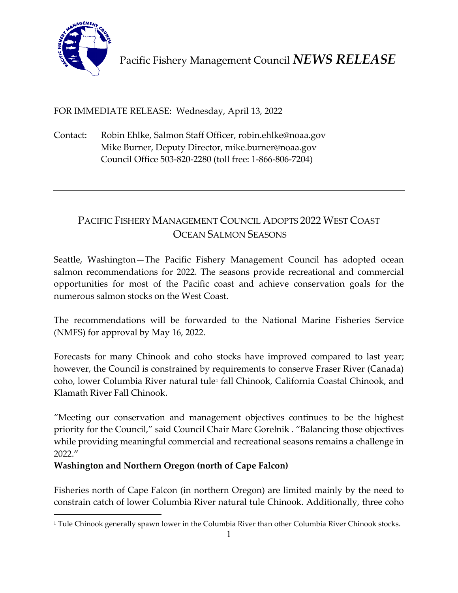

FOR IMMEDIATE RELEASE: Wednesday, April 13, 2022

Contact: Robin Ehlke, Salmon Staff Officer, robin.ehlke@noaa.gov Mike Burner, Deputy Director, mike.burner@noaa.gov Council Office 503-820-2280 (toll free: 1-866-806-7204)

# PACIFIC FISHERY MANAGEMENT COUNCIL ADOPTS 2022 WEST COAST OCEAN SALMON SEASONS

Seattle, Washington—The Pacific Fishery Management Council has adopted ocean salmon recommendations for 2022. The seasons provide recreational and commercial opportunities for most of the Pacific coast and achieve conservation goals for the numerous salmon stocks on the West Coast.

The recommendations will be forwarded to the National Marine Fisheries Service (NMFS) for approval by May 16, 2022.

Forecasts for many Chinook and coho stocks have improved compared to last year; however, the Council is constrained by requirements to conserve Fraser River (Canada) coho, lower Columbia River natural tule<sup>[1](#page-0-0)</sup> fall Chinook, California Coastal Chinook, and Klamath River Fall Chinook.

"Meeting our conservation and management objectives continues to be the highest priority for the Council," said Council Chair Marc Gorelnik . "Balancing those objectives while providing meaningful commercial and recreational seasons remains a challenge in 2022."

# **Washington and Northern Oregon (north of Cape Falcon)**

Fisheries north of Cape Falcon (in northern Oregon) are limited mainly by the need to constrain catch of lower Columbia River natural tule Chinook. Additionally, three coho

<span id="page-0-0"></span><sup>&</sup>lt;sup>1</sup> Tule Chinook generally spawn lower in the Columbia River than other Columbia River Chinook stocks.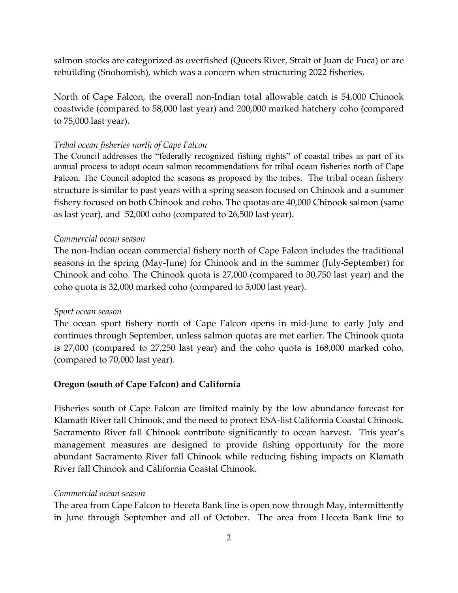salmon stocks are categorized as overfished (Queets River, Strait of Juan de Fuca) or are rebuilding (Snohomish), which was a concern when structuring 2022 fisheries.

North of Cape Falcon, the overall non-Indian total allowable catch is 54,000 Chinook coastwide (compared to 58,000 last year) and 200,000 marked hatchery coho (compared to 75,000 last year).

#### *Tribal ocean fisheries north of Cape Falcon*

The Council addresses the "federally recognized fishing rights" of coastal tribes as part of its annual process to adopt ocean salmon recommendations for tribal ocean fisheries north of Cape Falcon. The Council adopted the seasons as proposed by the tribes. The tribal ocean fishery structure is similar to past years with a spring season focused on Chinook and a summer fishery focused on both Chinook and coho. The quotas are 40,000 Chinook salmon (same as last year), and 52,000 coho (compared to 26,500 last year).

#### *Commercial ocean season*

The non-Indian ocean commercial fishery north of Cape Falcon includes the traditional seasons in the spring (May-June) for Chinook and in the summer (July-September) for Chinook and coho. The Chinook quota is 27,000 (compared to 30,750 last year) and the coho quota is 32,000 marked coho (compared to 5,000 last year).

#### *Sport ocean season*

The ocean sport fishery north of Cape Falcon opens in mid-June to early July and continues through September, unless salmon quotas are met earlier. The Chinook quota is 27,000 (compared to 27,250 last year) and the coho quota is 168,000 marked coho, (compared to 70,000 last year).

#### **Oregon (south of Cape Falcon) and California**

Fisheries south of Cape Falcon are limited mainly by the low abundance forecast for Klamath River fall Chinook, and the need to protect ESA-list California Coastal Chinook. Sacramento River fall Chinook contribute significantly to ocean harvest. This year's management measures are designed to provide fishing opportunity for the more abundant Sacramento River fall Chinook while reducing fishing impacts on Klamath River fall Chinook and California Coastal Chinook.

#### *Commercial ocean season*

The area from Cape Falcon to Heceta Bank line is open now through May, intermittently in June through September and all of October. The area from Heceta Bank line to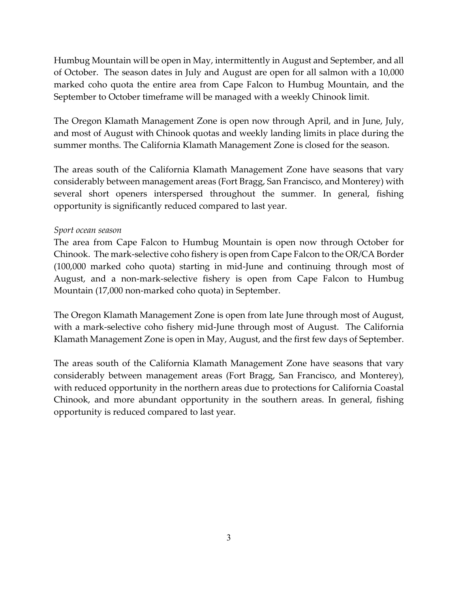Humbug Mountain will be open in May, intermittently in August and September, and all of October. The season dates in July and August are open for all salmon with a 10,000 marked coho quota the entire area from Cape Falcon to Humbug Mountain, and the September to October timeframe will be managed with a weekly Chinook limit.

The Oregon Klamath Management Zone is open now through April, and in June, July, and most of August with Chinook quotas and weekly landing limits in place during the summer months. The California Klamath Management Zone is closed for the season.

The areas south of the California Klamath Management Zone have seasons that vary considerably between management areas (Fort Bragg, San Francisco, and Monterey) with several short openers interspersed throughout the summer. In general, fishing opportunity is significantly reduced compared to last year.

### *Sport ocean season*

The area from Cape Falcon to Humbug Mountain is open now through October for Chinook. The mark-selective coho fishery is open from Cape Falcon to the OR/CA Border (100,000 marked coho quota) starting in mid-June and continuing through most of August, and a non-mark-selective fishery is open from Cape Falcon to Humbug Mountain (17,000 non-marked coho quota) in September.

The Oregon Klamath Management Zone is open from late June through most of August, with a mark-selective coho fishery mid-June through most of August. The California Klamath Management Zone is open in May, August, and the first few days of September.

The areas south of the California Klamath Management Zone have seasons that vary considerably between management areas (Fort Bragg, San Francisco, and Monterey), with reduced opportunity in the northern areas due to protections for California Coastal Chinook, and more abundant opportunity in the southern areas. In general, fishing opportunity is reduced compared to last year.